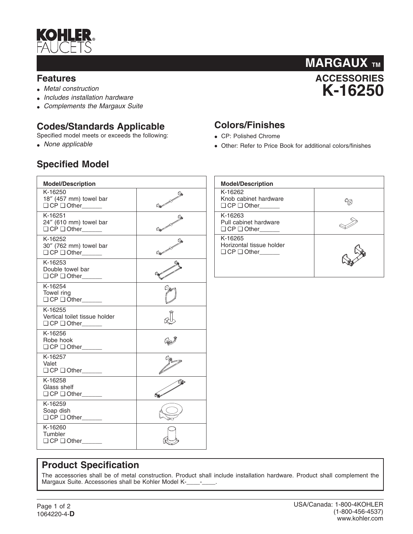

#### **Features**

- *Metal construction*
- *Includes installation hardware*
- *Complements the Margaux Suite*

## **Codes/Standards Applicable**

Specified model meets or exceeds the following:

• *None applicable*

## **Specified Model**



### **Colors/Finishes**

- CP: Polished Chrome
- Other: Refer to Price Book for additional colors/finishes

| <b>Model/Description</b>                                    |   | <b>Mode</b>                    |
|-------------------------------------------------------------|---|--------------------------------|
| K-16250<br>18" (457 mm) towel bar<br>$\Box$ CP $\Box$ Other |   | $K-162$<br>Knob<br>$\Box$ CP   |
| K-16251<br>24" (610 mm) towel bar<br>O CP O Other           |   | $K-162$<br>Pull c<br>$\Box$ CP |
| K-16252<br>30" (762 mm) towel bar<br>O CP O Other           | 的 | $K-162$<br>Horiz<br>$\Box$ CP  |
| K-16253<br>Double towel bar<br>$QCD$ Other                  |   |                                |
| K-16254<br>Towel ring<br>O CP O Other                       |   |                                |
| K-16255<br>Vertical toilet tissue holder                    |   |                                |
| K-16256<br>Robe hook<br>O CP O Other                        |   |                                |
| K-16257<br>Valet<br>$\Box$ CP $\Box$ Other_______           |   |                                |
| K-16258<br>Glass shelf<br>O CP O Other                      |   |                                |
| K-16259<br>Soap dish<br>O CP O Other                        |   |                                |
| K-16260<br>Tumbler<br>$\Box$ CP $\Box$ Other                |   |                                |
|                                                             |   |                                |

| <b>Model/Description</b>                                      |  |  |  |  |  |
|---------------------------------------------------------------|--|--|--|--|--|
| K-16262<br>Knob cabinet hardware<br>$\Box$ CP $\Box$ Other    |  |  |  |  |  |
| K-16263<br>Pull cabinet hardware<br>$\Box$ CP $\Box$ Other    |  |  |  |  |  |
| K-16265<br>Horizontal tissue holder<br>$\Box$ CP $\Box$ Other |  |  |  |  |  |

#### **Product Specification**

The accessories shall be of metal construction. Product shall include installation hardware. Product shall complement the Margaux Suite. Accessories shall be Kohler Model K-\_\_\_\_-\_